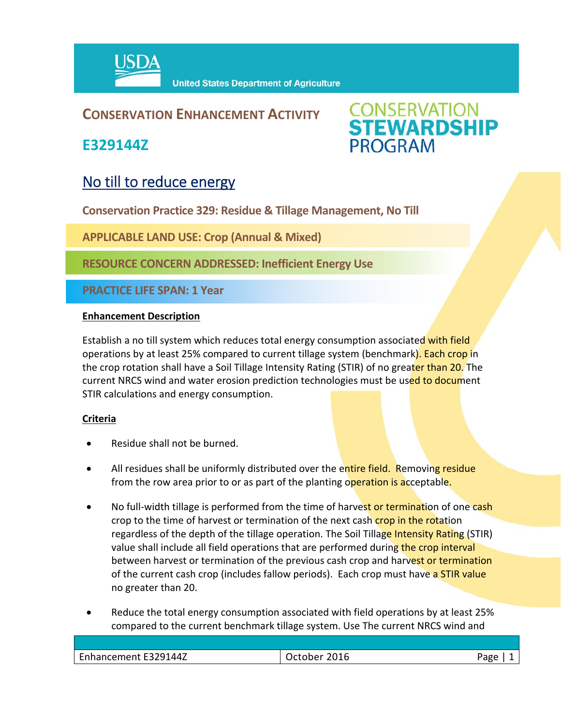

## **CONSERVATION ENHANCEMENT ACTIVITY**

**E329144Z**



# No till to reduce energy

**Conservation Practice 329: Residue & Tillage Management, No Till**

**APPLICABLE LAND USE: Crop (Annual & Mixed)**

**RESOURCE CONCERN ADDRESSED: Inefficient Energy Use**

**PRACTICE LIFE SPAN: 1 Year**

#### **Enhancement Description**

Establish a no till system which reduces total energy consumption associated with field operations by at least 25% compared to current tillage system (benchmark). Each crop in the crop rotation shall have a Soil Tillage Intensity Rating (STIR) of no greater than 20. The current NRCS wind and water erosion prediction technologies must be used to document STIR calculations and energy consumption.

#### **Criteria**

- Residue shall not be burned.
- All residues shall be uniformly distributed over the entire field. Removing residue from the row area prior to or as part of the planting operation is acceptable.
- No full-width tillage is performed from the time of harvest or termination of one cash crop to the time of harvest or termination of the next cash crop in the rotation regardless of the depth of the tillage operation. The Soil Tillage Intensity Rating (STIR) value shall include all field operations that are performed during the crop interval between harvest or termination of the previous cash crop and harvest or termination of the current cash crop (includes fallow periods). Each crop must have a STIR value no greater than 20.
- Reduce the total energy consumption associated with field operations by at least 25% compared to the current benchmark tillage system. Use The current NRCS wind and

| Enhancement E329144Z | 2016<br>)ctober | Aמר |
|----------------------|-----------------|-----|
|                      |                 |     |